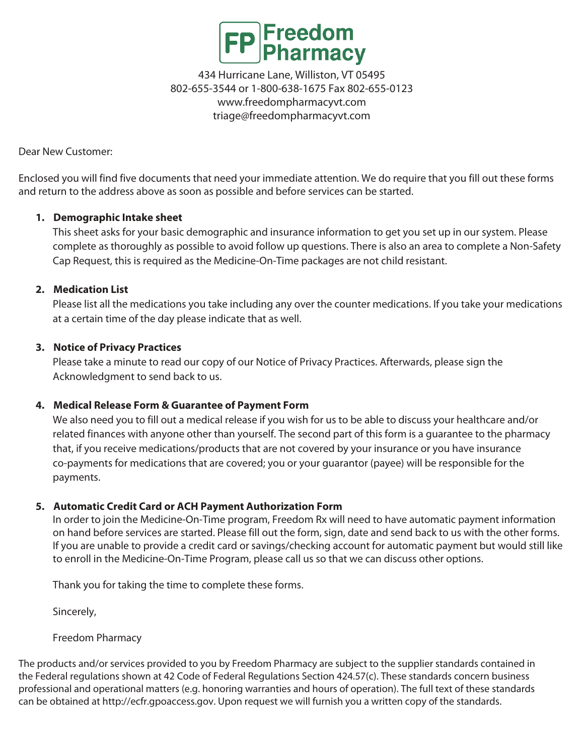

Dear New Customer:

Enclosed you will find five documents that need your immediate attention. We do require that you fill out these forms and return to the address above as soon as possible and before services can be started.

## **1. Demographic Intake sheet**

This sheet asks for your basic demographic and insurance information to get you set up in our system. Please complete as thoroughly as possible to avoid follow up questions. There is also an area to complete a Non-Safety Cap Request, this is required as the Medicine-On-Time packages are not child resistant.

## **2. Medication List**

Please list all the medications you take including any over the counter medications. If you take your medications at a certain time of the day please indicate that as well.

## **3. Notice of Privacy Practices**

Please take a minute to read our copy of our Notice of Privacy Practices. Afterwards, please sign the Acknowledgment to send back to us.

## **4. Medical Release Form & Guarantee of Payment Form**

We also need you to fill out a medical release if you wish for us to be able to discuss your healthcare and/or related finances with anyone other than yourself. The second part of this form is a guarantee to the pharmacy that, if you receive medications/products that are not covered by your insurance or you have insurance co-payments for medications that are covered; you or your guarantor (payee) will be responsible for the payments.

## **5. Automatic Credit Card or ACH Payment Authorization Form**

In order to join the Medicine-On-Time program, Freedom Rx will need to have automatic payment information on hand before services are started. Please fill out the form, sign, date and send back to us with the other forms. If you are unable to provide a credit card or savings/checking account for automatic payment but would still like to enroll in the Medicine-On-Time Program, please call us so that we can discuss other options.

Thank you for taking the time to complete these forms.

Sincerely,

Freedom Pharmacy

The products and/or services provided to you by Freedom Pharmacy are subject to the supplier standards contained in the Federal regulations shown at 42 Code of Federal Regulations Section 424.57(c). These standards concern business professional and operational matters (e.g. honoring warranties and hours of operation). The full text of these standards can be obtained at http://ecfr.gpoaccess.gov. Upon request we will furnish you a written copy of the standards.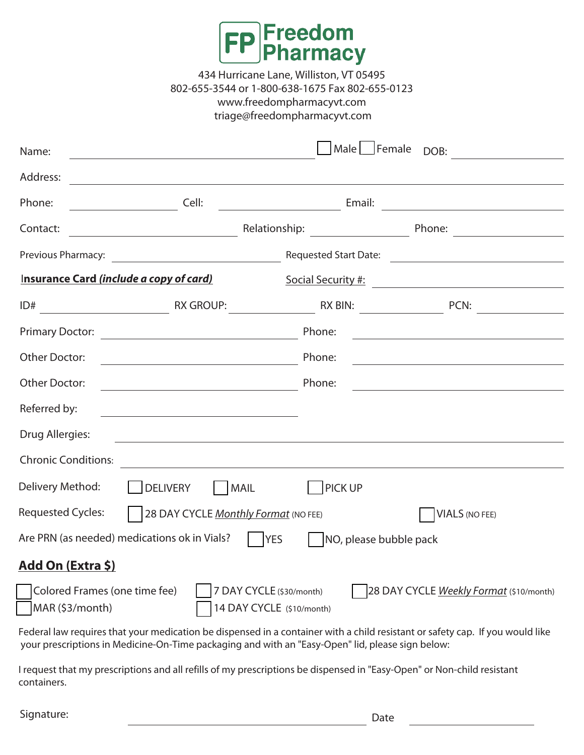

| Name:                      |                                                                                        |                              | Male Female DOB:                        |
|----------------------------|----------------------------------------------------------------------------------------|------------------------------|-----------------------------------------|
| Address:                   |                                                                                        |                              |                                         |
| Phone:                     | Cell:                                                                                  |                              | Email:                                  |
| Contact:                   | Relationship:                                                                          |                              | Phone:                                  |
| Previous Pharmacy:         | <u> 1990 - Johann Barbara, martin eta politikar</u>                                    | <b>Requested Start Date:</b> |                                         |
|                            | Insurance Card (include a copy of card)                                                | <b>Social Security #:</b>    |                                         |
| ID#                        | RX GROUP:                                                                              | <b>RX BIN:</b>               | PCN:                                    |
| <b>Primary Doctor:</b>     |                                                                                        | Phone:                       |                                         |
| <b>Other Doctor:</b>       |                                                                                        | Phone:                       |                                         |
| Other Doctor:              |                                                                                        | Phone:                       |                                         |
| Referred by:               |                                                                                        |                              |                                         |
| Drug Allergies:            |                                                                                        |                              |                                         |
| <b>Chronic Conditions:</b> |                                                                                        |                              |                                         |
| Delivery Method:           | <b>DELIVERY</b><br>MAIL                                                                | <b>PICK UP</b>               |                                         |
| <b>Requested Cycles:</b>   | 28 DAY CYCLE Monthly Format (NO FEE)                                                   |                              | <b>VIALS (NO FEE)</b>                   |
|                            | Are PRN (as needed) medications ok in Vials?<br><b>YES</b>                             |                              | NO, please bubble pack                  |
| Add On (Extra \$)          |                                                                                        |                              |                                         |
| MAR (\$3/month)            | Colored Frames (one time fee)<br>7 DAY CYCLE (\$30/month)<br>14 DAY CYCLE (\$10/month) |                              | 28 DAY CYCLE Weekly Format (\$10/month) |

Federal law requires that your medication be dispensed in a container with a child resistant or safety cap. If you would like your prescriptions in Medicine-On-Time packaging and with an "Easy-Open" lid, please sign below:

I request that my prescriptions and all refills of my prescriptions be dispensed in "Easy-Open" or Non-child resistant containers.

Signature: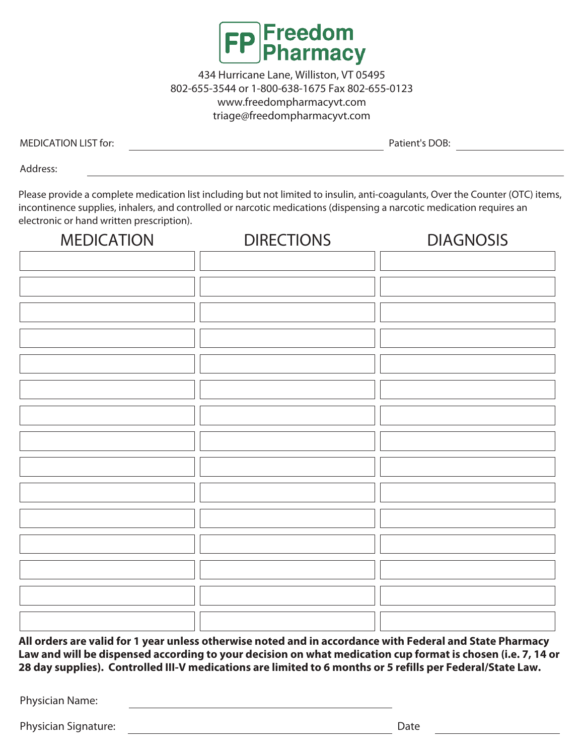

MEDICATION LIST for: Patient's DOB:

Address:

Please provide a complete medication list including but not limited to insulin, anti-coagulants, Over the Counter (OTC) items, incontinence supplies, inhalers, and controlled or narcotic medications (dispensing a narcotic medication requires an electronic or hand written prescription).

| <b>MEDICATION</b> | <b>DIRECTIONS</b> | <b>DIAGNOSIS</b> |
|-------------------|-------------------|------------------|
|                   |                   |                  |
|                   |                   |                  |
|                   |                   |                  |
|                   |                   |                  |
|                   |                   |                  |
|                   |                   |                  |
|                   |                   |                  |
|                   |                   |                  |
|                   |                   |                  |
|                   |                   |                  |
|                   |                   |                  |
|                   |                   |                  |
|                   |                   |                  |
|                   |                   |                  |
|                   |                   |                  |

**All orders are valid for 1 year unless otherwise noted and in accordance with Federal and State Pharmacy Law and will be dispensed according to your decision on what medication cup format is chosen (i.e. 7, 14 or 28 day supplies). Controlled III-V medications are limited to 6 months or 5 refills per Federal/State Law.** 

Physician Name:

Physician Signature: Date Date Communications are presented by the Date Date Date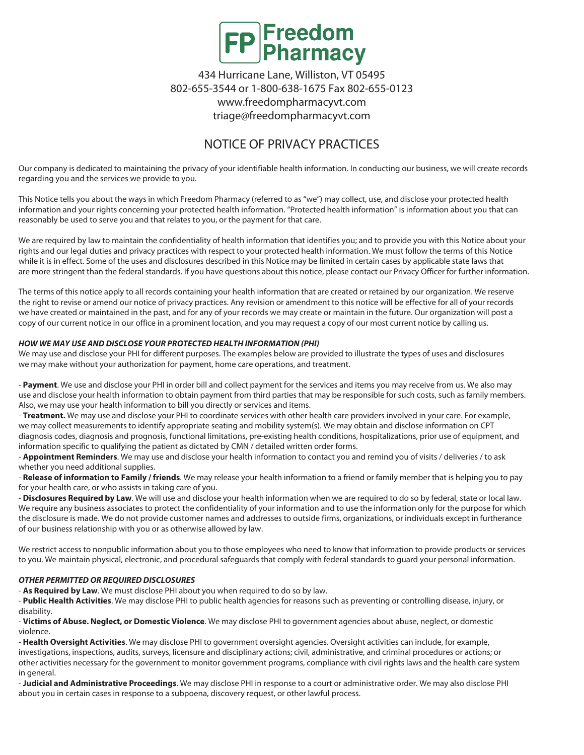

# NOTICE OF PRIVACY PRACTICES

Our company is dedicated to maintaining the privacy of your identifiable health information. In conducting our business, we will create records regarding you and the services we provide to you.

This Notice tells you about the ways in which Freedom Pharmacy (referred to as "we") may collect, use, and disclose your protected health information and your rights concerning your protected health information. "Protected health information" is information about you that can reasonably be used to serve you and that relates to you, or the payment for that care.

We are required by law to maintain the confidentiality of health information that identifies you; and to provide you with this Notice about your rights and our legal duties and privacy practices with respect to your protected health information. We must follow the terms of this Notice while it is in effect. Some of the uses and disclosures described in this Notice may be limited in certain cases by applicable state laws that are more stringent than the federal standards. If you have questions about this notice, please contact our Privacy Officer for further information.

The terms of this notice apply to all records containing your health information that are created or retained by our organization. We reserve the right to revise or amend our notice of privacy practices. Any revision or amendment to this notice will be effective for all of your records we have created or maintained in the past, and for any of your records we may create or maintain in the future. Our organization will post a copy of our current notice in our office in a prominent location, and you may request a copy of our most current notice by calling us.

#### *HOW WE MAY USE AND DISCLOSE YOUR PROTECTED HEALTH INFORMATION (PHI)*

We may use and disclose your PHI for different purposes. The examples below are provided to illustrate the types of uses and disclosures we may make without your authorization for payment, home care operations, and treatment.

- **Payment**. We use and disclose your PHI in order bill and collect payment for the services and items you may receive from us. We also may use and disclose your health information to obtain payment from third parties that may be responsible for such costs, such as family members. Also, we may use your health information to bill you directly or services and items.

- **Treatment.** We may use and disclose your PHI to coordinate services with other health care providers involved in your care. For example, we may collect measurements to identify appropriate seating and mobility system(s). We may obtain and disclose information on CPT diagnosis codes, diagnosis and prognosis, functional limitations, pre-existing health conditions, hospitalizations, prior use of equipment, and information specific to qualifying the patient as dictated by CMN / detailed written order forms.

- **Appointment Reminders**. We may use and disclose your health information to contact you and remind you of visits / deliveries / to ask whether you need additional supplies.

- **Release of information to Family / friends**. We may release your health information to a friend or family member that is helping you to pay for your health care, or who assists in taking care of you.

- **Disclosures Required by Law**. We will use and disclose your health information when we are required to do so by federal, state or local law. We require any business associates to protect the confidentiality of your information and to use the information only for the purpose for which the disclosure is made. We do not provide customer names and addresses to outside firms, organizations, or individuals except in furtherance of our business relationship with you or as otherwise allowed by law.

We restrict access to nonpublic information about you to those employees who need to know that information to provide products or services to you. We maintain physical, electronic, and procedural safeguards that comply with federal standards to guard your personal information.

#### *OTHER PERMITTED OR REQUIRED DISCLOSURES*

- **As Required by Law**. We must disclose PHI about you when required to do so by law.

- **Public Health Activities**. We may disclose PHI to public health agencies for reasons such as preventing or controlling disease, injury, or disability.

- **Victims of Abuse. Neglect, or Domestic Violence**. We may disclose PHI to government agencies about abuse, neglect, or domestic violence.

- **Health Oversight Activities**. We may disclose PHI to government oversight agencies. Oversight activities can include, for example, investigations, inspections, audits, surveys, licensure and disciplinary actions; civil, administrative, and criminal procedures or actions; or other activities necessary for the government to monitor government programs, compliance with civil rights laws and the health care system in general.

- **Judicial and Administrative Proceedings**. We may disclose PHI in response to a court or administrative order. We may also disclose PHI about you in certain cases in response to a subpoena, discovery request, or other lawful process.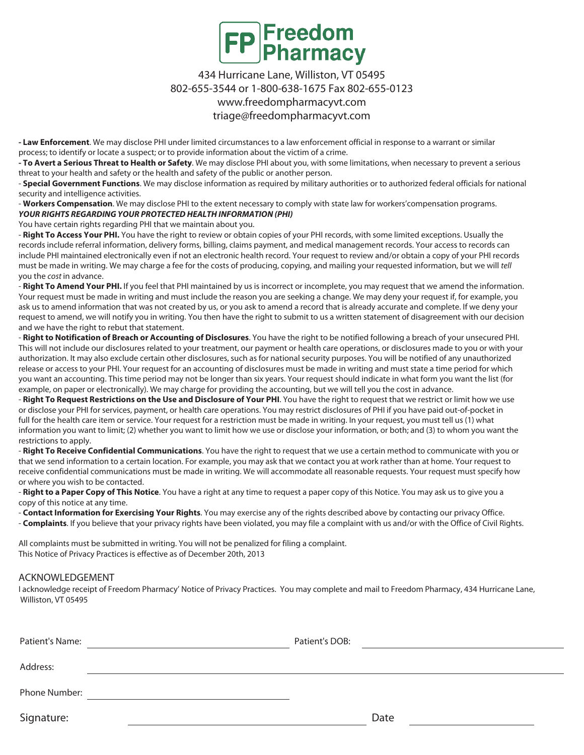

**- Law Enforcement**. We may disclose PHI under limited circumstances to a law enforcement official in response to a warrant or similar process; to identify or locate a suspect; or to provide information about the victim of a crime.

**- To Avert a Serious Threat to Health or Safety**. We may disclose PHI about you, with some limitations, when necessary to prevent a serious threat to your health and safety or the health and safety of the public or another person.

- **Special Government Functions**. We may disclose information as required by military authorities or to authorized federal officials for national security and intelligence activities.

- **Workers Compensation**. We may disclose PHI to the extent necessary to comply with state law for workers'compensation programs. *YOUR RIGHTS REGARDING YOUR PROTECTED HEALTH INFORMATION (PHI)* 

You have certain rights regarding PHI that we maintain about you.

- **Right To Access Your PHI.** You have the right to review or obtain copies of your PHI records, with some limited exceptions. Usually the records include referral information, delivery forms, billing, claims payment, and medical management records. Your access to records can include PHI maintained electronically even if not an electronic health record. Your request to review and/or obtain a copy of your PHI records must be made in writing. We may charge a fee for the costs of producing, copying, and mailing your requested information, but we will tell you the cost in advance.

- **Right To Amend Your PHI.** If you feel that PHI maintained by us is incorrect or incomplete, you may request that we amend the information. Your request must be made in writing and must include the reason you are seeking a change. We may deny your request if, for example, you ask us to amend information that was not created by us, or you ask to amend a record that is already accurate and complete. If we deny your request to amend, we will notify you in writing. You then have the right to submit to us a written statement of disagreement with our decision and we have the right to rebut that statement.

- **Right to Notification of Breach or Accounting of Disclosures**. You have the right to be notified following a breach of your unsecured PHI. This will not include our disclosures related to your treatment, our payment or health care operations, or disclosures made to you or with your authorization. It may also exclude certain other disclosures, such as for national security purposes. You will be notified of any unauthorized release or access to your PHI. Your request for an accounting of disclosures must be made in writing and must state a time period for which you want an accounting. This time period may not be longer than six years. Your request should indicate in what form you want the list (for example, on paper or electronically). We may charge for providing the accounting, but we will tell you the cost in advance.

- **Right To Request Restrictions on the Use and Disclosure of Your PHI**. You have the right to request that we restrict or limit how we use or disclose your PHI for services, payment, or health care operations. You may restrict disclosures of PHI if you have paid out-of-pocket in full for the health care item or service. Your request for a restriction must be made in writing. In your request, you must tell us (1) what information you want to limit; (2) whether you want to limit how we use or disclose your information, or both; and (3) to whom you want the restrictions to apply.

- **Right To Receive Confidential Communications**. You have the right to request that we use a certain method to communicate with you or that we send information to a certain location. For example, you may ask that we contact you at work rather than at home. Your request to receive confidential communications must be made in writing. We will accommodate all reasonable requests. Your request must specify how or where you wish to be contacted.

- **Right to a Paper Copy of This Notice**. You have a right at any time to request a paper copy of this Notice. You may ask us to give you a copy of this notice at any time.

- **Contact Information for Exercising Your Rights**. You may exercise any of the rights described above by contacting our privacy Office.

- **Complaints**. If you believe that your privacy rights have been violated, you may file a complaint with us and/or with the Office of Civil Rights.

All complaints must be submitted in writing. You will not be penalized for filing a complaint. This Notice of Privacy Practices is effective as of December 20th, 2013

#### ACKNOWLEDGEMENT

I acknowledge receipt of Freedom Pharmacy' Notice of Privacy Practices. You may complete and mail to Freedom Pharmacy, 434 Hurricane Lane, Williston, VT 05495

| Patient's Name: | Patient's DOB: |      |
|-----------------|----------------|------|
| Address:        |                |      |
| Phone Number:   |                |      |
| Signature:      |                | Date |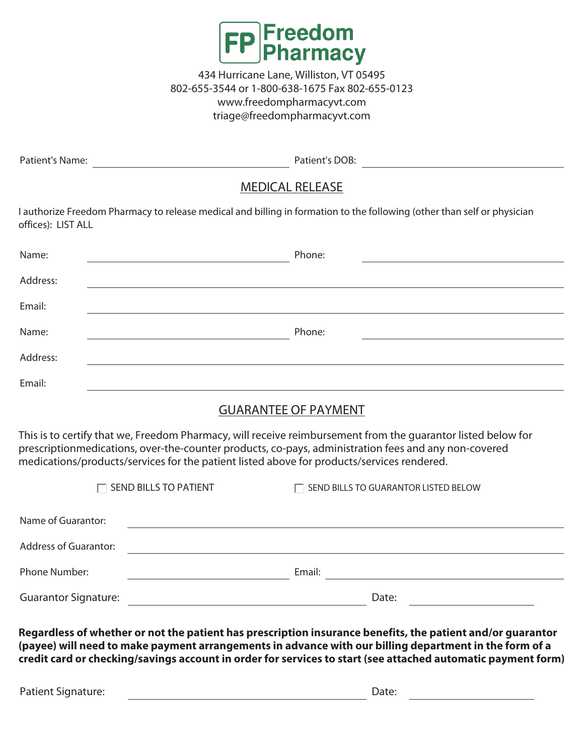

Patient's Name:

Patient's DOB:

# MEDICAL RELEASE

I authorize Freedom Pharmacy to release medical and billing in formation to the following (other than self or physician offices): LIST ALL

| Name:    | Phone: |
|----------|--------|
| Address: |        |
| Email:   |        |
| Name:    | Phone: |
| Address: |        |
| Email:   |        |

## GUARANTEE OF PAYMENT

This is to certify that we, Freedom Pharmacy, will receive reimbursement from the guarantor listed below for prescriptionmedications, over-the-counter products, co-pays, administration fees and any non-covered medications/products/services for the patient listed above for products/services rendered.

|                              | $\Box$ SEND BILLS TO PATIENT | $\Box$ SEND BILLS TO GUARANTOR LISTED BELOW |  |
|------------------------------|------------------------------|---------------------------------------------|--|
| Name of Guarantor:           |                              |                                             |  |
| <b>Address of Guarantor:</b> |                              |                                             |  |
| Phone Number:                |                              | Email:                                      |  |
| <b>Guarantor Signature:</b>  |                              | Date:                                       |  |

**Regardless of whether or not the patient has prescription insurance benefits, the patient and/or guarantor (payee) will need to make payment arrangements in advance with our billing department in the form of a credit card or checking/savings account in order for services to start (see attached automatic payment form)**

Patient Signature: Date: Date: Date: Date: Date: Date: Date: Date: Date: Date: Date: Date: Date: Date: Date: Date: Date: Date: Date: Date: Date: Date: Date: Date: Date: Date: Date: Date: Date: Date: Date: Date: Date: Date: